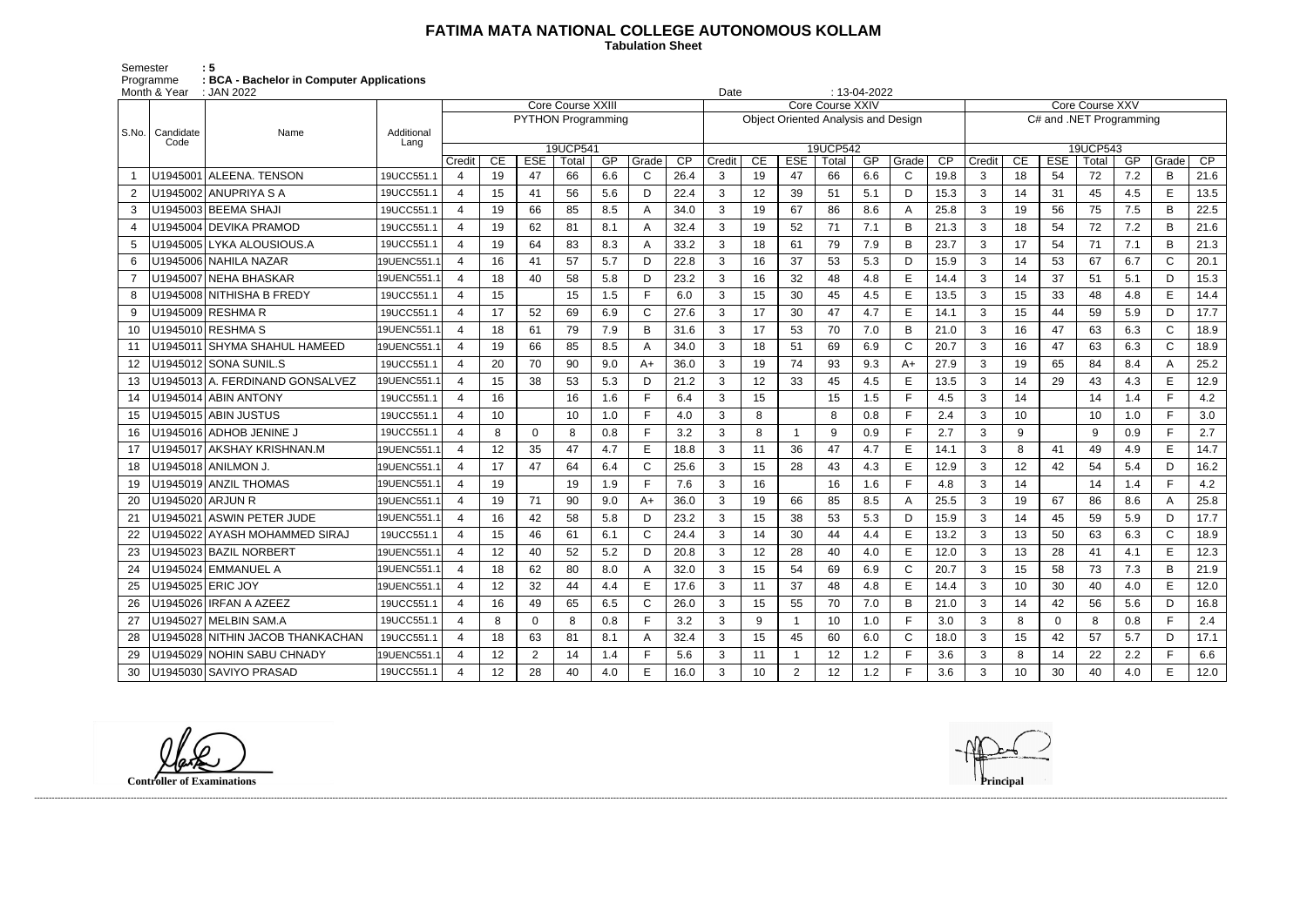## **FATIMA MATA NATIONAL COLLEGE AUTONOMOUS KOLLAM**

 **Tabulation Sheet** 

Semester : 5 Programme **: BCA - Bachelor in Computer Applications**

|       | Month & Year<br>: JAN 2022 |                                  |             |                           |                 |                |       |     |       |                 |                  |    |                | $: 13-04-2022$<br>Date                     |     |              |      |                         |                 |             |       |     |                |      |  |
|-------|----------------------------|----------------------------------|-------------|---------------------------|-----------------|----------------|-------|-----|-------|-----------------|------------------|----|----------------|--------------------------------------------|-----|--------------|------|-------------------------|-----------------|-------------|-------|-----|----------------|------|--|
|       |                            |                                  |             | Core Course XXIII         |                 |                |       |     |       |                 | Core Course XXIV |    |                |                                            |     |              |      |                         | Core Course XXV |             |       |     |                |      |  |
|       |                            |                                  |             | <b>PYTHON Programming</b> |                 |                |       |     |       |                 |                  |    |                | <b>Object Oriented Analysis and Design</b> |     |              |      | C# and .NET Programming |                 |             |       |     |                |      |  |
| S.No. | Candidate                  | Name                             | Additional  |                           |                 |                |       |     |       |                 |                  |    |                |                                            |     |              |      |                         |                 |             |       |     |                |      |  |
|       | Code                       |                                  | Lang        | 19UCP541                  |                 |                |       |     |       | 19UCP542        |                  |    |                |                                            |     |              |      |                         |                 | 19UCP543    |       |     |                |      |  |
|       |                            |                                  |             | Credit                    | CE              | <b>ESE</b>     | Total | GP  | Grade | $\overline{CP}$ | Credit           | CE | <b>ESE</b>     | Total                                      | GP  | Grade        | CP   | Credit                  | CE              | <b>ESE</b>  | Total | GP  | Grade          | CP   |  |
|       |                            | U1945001   ALEENA. TENSON        | 19UCC551.1  | $\overline{4}$            | 19              | 47             | 66    | 6.6 | C     | 26.4            | 3                | 19 | 47             | 66                                         | 6.6 | C            | 19.8 | 3                       | 18              | 54          | 72    | 7.2 | B              | 21.6 |  |
|       |                            | U1945002 ANUPRIYA S A            | 19UCC551.1  | $\overline{4}$            | 15              | 41             | 56    | 5.6 | D     | 22.4            | 3                | 12 | 39             | 51                                         | 5.1 | D            | 15.3 | 3                       | 14              | 31          | 45    | 4.5 | E              | 13.5 |  |
| 3     |                            | U1945003 BEEMA SHAJI             | 19UCC551.1  | $\overline{4}$            | 19              | 66             | 85    | 8.5 | А     | 34.0            | 3                | 19 | 67             | 86                                         | 8.6 | A            | 25.8 | 3                       | 19              | 56          | 75    | 7.5 | B              | 22.5 |  |
|       |                            | U1945004 DEVIKA PRAMOD           | 19UCC551.1  | 4                         | 19              | 62             | 81    | 8.1 | А     | 32.4            | 3                | 19 | 52             | 71                                         | 7.1 | B            | 21.3 | 3                       | 18              | 54          | 72    | 7.2 | B              | 21.6 |  |
| 5     |                            | U1945005 LYKA ALOUSIOUS.A        | 19UCC551.1  | 4                         | 19              | 64             | 83    | 8.3 | А     | 33.2            | 3                | 18 | 61             | 79                                         | 7.9 | B            | 23.7 | 3                       | 17              | 54          | 71    | 7.1 | B              | 21.3 |  |
| 6     |                            | J1945006   NAHILA NAZAR          | 19UENC551.1 | $\boldsymbol{\varDelta}$  | 16              | 41             | 57    | 5.7 | D     | 22.8            | 3                | 16 | 37             | 53                                         | 5.3 | D            | 15.9 | 3                       | 14              | 53          | 67    | 6.7 | C              | 20.1 |  |
|       |                            | U1945007 NEHA BHASKAR            | 19UENC551.1 | $\overline{4}$            | 18              | 40             | 58    | 5.8 | D     | 23.2            | 3                | 16 | 32             | 48                                         | 4.8 | E            | 14.4 | 3                       | 14              | 37          | 51    | 5.1 | D              | 15.3 |  |
| 8     |                            | U1945008 NITHISHA B FREDY        | 19UCC551.1  | $\overline{4}$            | 15              |                | 15    | 1.5 | Е     | 6.0             | 3                | 15 | 30             | 45                                         | 4.5 | E            | 13.5 | 3                       | 15              | 33          | 48    | 4.8 | E              | 14.4 |  |
| 9     |                            | U1945009 RESHMA R                | 19UCC551.1  | $\boldsymbol{\Delta}$     | 17              | 52             | 69    | 6.9 | C     | 27.6            | 3                | 17 | 30             | 47                                         | 4.7 | E            | 14.1 | 3                       | 15              | 44          | 59    | 5.9 | D              | 17.7 |  |
| 10    |                            | J1945010 RESHMA S                | 19UENC551.1 | $\boldsymbol{\varDelta}$  | 18              | 61             | 79    | 7.9 | B     | 31.6            | 3                | 17 | 53             | 70                                         | 7.0 | B            | 21.0 | 3                       | 16              | 47          | 63    | 6.3 | $\mathsf{C}$   | 18.9 |  |
| 11    |                            | U1945011   SHYMA SHAHUL HAMEED   | 19UENC551.1 | $\boldsymbol{\Lambda}$    | 19              | 66             | 85    | 8.5 | А     | 34.0            | 3                | 18 | 51             | 69                                         | 6.9 | C            | 20.7 | 3                       | 16              | 47          | 63    | 6.3 | C              | 18.9 |  |
| 12    |                            | J1945012 SONA SUNIL.S            | 19UCC551.1  | $\overline{4}$            | 20              | 70             | 90    | 9.0 | A+    | 36.0            | 3                | 19 | 74             | 93                                         | 9.3 | $A+$         | 27.9 | 3                       | 19              | 65          | 84    | 8.4 | A              | 25.2 |  |
| 13    |                            | U1945013 A. FERDINAND GONSALVEZ  | 19UENC551.1 | $\overline{4}$            | 15              | 38             | 53    | 5.3 | D     | 21.2            | 3                | 12 | 33             | 45                                         | 4.5 | E            | 13.5 | 3                       | 14              | 29          | 43    | 4.3 | E              | 12.9 |  |
| 14    |                            | U1945014 ABIN ANTONY             | 19UCC551.1  | $\overline{4}$            | 16              |                | 16    | 1.6 | Е     | 6.4             | 3                | 15 |                | 15                                         | 1.5 | F            | 4.5  | 3                       | 14              |             | 14    | 1.4 | E              | 4.2  |  |
| 15    |                            | J1945015 ABIN JUSTUS             | 19UCC551.1  | $\overline{4}$            | 10              |                | 10    | 1.0 | Е     | 4.0             | 3                | 8  |                | 8                                          | 0.8 | F            | 2.4  | 3                       | 10              |             | 10    | 1.0 | F.             | 3.0  |  |
| 16    |                            | J1945016 ADHOB JENINE J          | 19UCC551.1  | $\boldsymbol{\varDelta}$  | 8               | $\Omega$       | 8     | 0.8 |       | 3.2             | 3                | 8  |                | 9                                          | 0.9 | E            | 2.7  | 3                       | 9               |             | 9     | 0.9 | E.             | 2.7  |  |
| 17    |                            | U1945017 AKSHAY KRISHNAN.M       | 19UENC551.1 | $\overline{4}$            | 12              | 35             | 47    | 4.7 | E     | 18.8            | 3                | 11 | 36             | 47                                         | 4.7 | E            | 14.1 | 3                       | 8               | 41          | 49    | 4.9 | E              | 14.7 |  |
| 18    |                            | U1945018 ANILMON J               | 19UENC551.1 | $\overline{4}$            | 17              | 47             | 64    | 6.4 | C     | 25.6            | 3                | 15 | 28             | 43                                         | 4.3 | E            | 12.9 | 3                       | 12              | 42          | 54    | 5.4 | D              | 16.2 |  |
| 19    |                            | J1945019 ANZIL THOMAS            | 19UENC551.1 | $\overline{4}$            | 19              |                | 19    | 1.9 | Е     | 7.6             | 3                | 16 |                | 16                                         | 1.6 | F            | 4.8  | 3                       | 14              |             | 14    | 1.4 | $\blacksquare$ | 4.2  |  |
| 20    |                            | U1945020 ARJUN R                 | 19UENC551.1 | $\overline{4}$            | 19              | 71             | 90    | 9.0 | A+    | 36.0            | 3                | 19 | 66             | 85                                         | 8.5 | A            | 25.5 | 3                       | 19              | 67          | 86    | 8.6 | A              | 25.8 |  |
| 21    | U1945021                   | ASWIN PETER JUDE                 | 19UENC551.1 | $\boldsymbol{\varDelta}$  | 16              | 42             | 58    | 5.8 | D     | 23.2            | 3                | 15 | 38             | 53                                         | 5.3 | D            | 15.9 | 3                       | 14              | 45          | 59    | 5.9 | D              | 17.7 |  |
| 22    |                            | J1945022 AYASH MOHAMMED SIRAJ    | 19UCC551.1  | $\overline{4}$            | 15              | 46             | 61    | 6.1 | C     | 24.4            | 3                | 14 | 30             | 44                                         | 4.4 | E            | 13.2 | $\sqrt{3}$              | 13              | 50          | 63    | 6.3 | C              | 18.9 |  |
| 23    |                            | U1945023 BAZIL NORBERT           | 19UENC551.1 | $\overline{4}$            | 12              | 40             | 52    | 5.2 | D     | 20.8            | 3                | 12 | 28             | 40                                         | 4.0 | E            | 12.0 | 3                       | 13              | 28          | 41    | 4.1 | E              | 12.3 |  |
| 24    |                            | U1945024 EMMANUEL A              | 19UENC551.1 | $\boldsymbol{\varDelta}$  | 18              | 62             | 80    | 8.0 |       | 32.0            | 3                | 15 | 54             | 69                                         | 6.9 | $\mathsf{C}$ | 20.7 | 3                       | 15              | 58          | 73    | 7.3 | B              | 21.9 |  |
| 25    |                            | U1945025 ERIC JOY                | 19UENC551.1 | -4                        | 12 <sub>2</sub> | 32             | 44    | 4.4 | E.    | 17.6            | 3                | 11 | 37             | 48                                         | 4.8 | E            | 14.4 | 3                       | 10              | 30          | 40    | 4.0 | E              | 12.0 |  |
| 26    |                            | U1945026 IRFAN A AZEEZ           | 19UCC551.1  | $\overline{4}$            | 16              | 49             | 65    | 6.5 | C     | 26.0            | 3                | 15 | 55             | 70                                         | 7.0 | B            | 21.0 | 3                       | 14              | 42          | 56    | 5.6 | D              | 16.8 |  |
| 27    |                            | U1945027 MELBIN SAM.A            | 19UCC551.1  | $\overline{4}$            | 8               | $\overline{0}$ | 8     | 0.8 | F     | 3.2             | 3                | 9  |                | 10                                         | 1.0 | F            | 3.0  | 3                       | 8               | $\mathbf 0$ | 8     | 0.8 |                | 2.4  |  |
| 28    |                            | U1945028 NITHIN JACOB THANKACHAN | 19UCC551.1  | $\overline{4}$            | 18              | 63             | 81    | 8.1 | Α     | 32.4            | 3                | 15 | 45             | 60                                         | 6.0 | $\mathsf{C}$ | 18.0 | 3                       | 15              | 42          | 57    | 5.7 | D              | 17.1 |  |
| 29    |                            | U1945029 NOHIN SABU CHNADY       | 19UENC551.1 | $\overline{4}$            | 12              | $\overline{2}$ | 14    | 1.4 | F     | 5.6             | 3                | 11 |                | 12                                         | 1.2 | F            | 3.6  | $\mathbf{3}$            | 8               | 14          | 22    | 2.2 |                | 6.6  |  |
| 30    |                            | U1945030 SAVIYO PRASAD           | 19UCC551.1  | $\overline{4}$            | 12              | 28             | 40    | 4.0 | E     | 16.0            | 3                | 10 | $\overline{2}$ | 12                                         | 1.2 | F.           | 3.6  | $\mathbf{3}$            | 10 <sup>1</sup> | 30          | 40    | 4.0 | E.             | 12.0 |  |

**Controller of Examinations Principal**

------------------------------------------------------------------------------------------------------------------------------------------------------------------------------------------------------------------------------------------------------------------------------------------------------------------------------------------------------------------------------------------------------------------------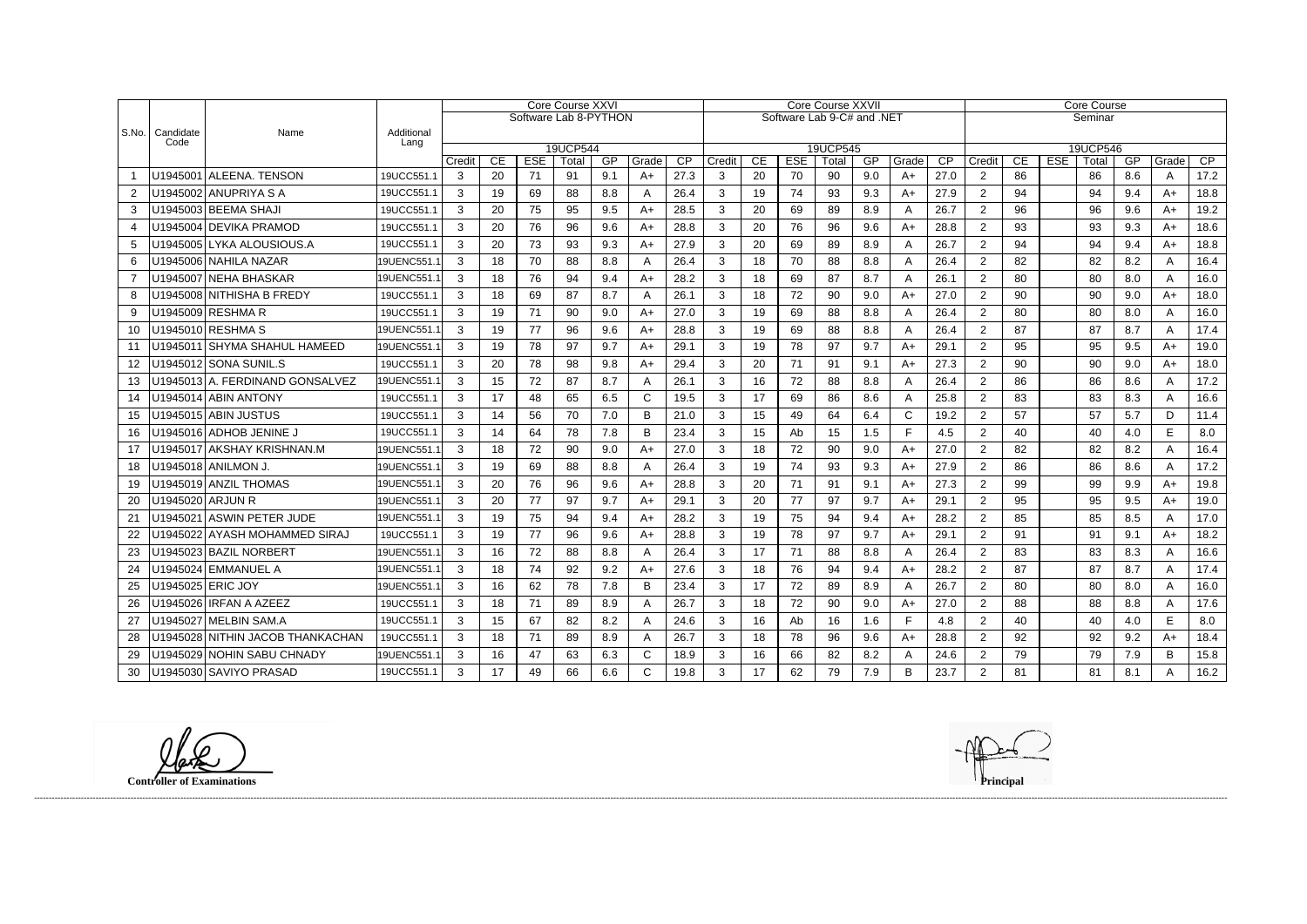|                  |                          |                                  |                    | Core Course XXVI      |                 |                  |             |                  |             |            | <b>Core Course XXVII</b>   |                 |                  |             |           |                        |            | <b>Core Course</b>       |                 |            |             |                  |            |            |  |  |
|------------------|--------------------------|----------------------------------|--------------------|-----------------------|-----------------|------------------|-------------|------------------|-------------|------------|----------------------------|-----------------|------------------|-------------|-----------|------------------------|------------|--------------------------|-----------------|------------|-------------|------------------|------------|------------|--|--|
|                  |                          |                                  |                    | Software Lab 8-PYTHON |                 |                  |             |                  |             |            | Software Lab 9-C# and .NET |                 |                  |             |           |                        |            | Seminar                  |                 |            |             |                  |            |            |  |  |
| $ $ S.No.        | Candidate<br>Code        | Name                             | Additional<br>Lang |                       |                 |                  |             |                  |             |            |                            |                 |                  |             |           |                        |            |                          |                 |            |             |                  |            |            |  |  |
|                  |                          |                                  |                    |                       |                 |                  | 19UCP544    |                  |             |            |                            |                 |                  | 19UCP545    |           |                        |            |                          |                 |            | 19UCP546    |                  |            |            |  |  |
|                  |                          | U1945001 ALEENA, TENSON          | 19UCC551.1         | Credit<br>3           | <b>CE</b><br>20 | <b>ESE</b><br>71 | Total<br>91 | <b>GP</b><br>9.1 | Grade<br>A+ | CP<br>27.3 | Credit<br>3                | <b>CE</b><br>20 | <b>ESE</b><br>70 | Total<br>90 | GP<br>9.0 | Grade<br>$A+$          | CP<br>27.0 | Credit<br>$\overline{2}$ | <b>CE</b><br>86 | <b>ESE</b> | Total<br>86 | <b>GP</b><br>8.6 | Grade<br>A | CP<br>17.2 |  |  |
| 2                |                          | U1945002 ANUPRIYA S A            | 19UCC551.1         | 3                     | 19              | 69               | 88          | 8.8              | Α           | 26.4       | 3                          | 19              | 74               | 93          | 9.3       | A+                     | 27.9       | $\overline{2}$           | 94              |            | 94          | 9.4              | $A+$       | 18.8       |  |  |
| 3                |                          | U1945003 BEEMA SHAJI             | 19UCC551.1         | 3                     | 20              | 75               | 95          | 9.5              | A+          | 28.5       | 3                          | 20              | 69               | 89          | 8.9       | A                      | 26.7       | $\overline{2}$           | 96              |            | 96          | 9.6              | A+         | 19.2       |  |  |
| $\boldsymbol{4}$ |                          | U1945004 DEVIKA PRAMOD           | 19UCC551.1         | 3                     | 20              | 76               | 96          | 9.6              | $A+$        | 28.8       | 3                          | 20              | 76               | 96          | 9.6       | $A+$                   | 28.8       | $\overline{2}$           | 93              |            | 93          | 9.3              | A+         | 18.6       |  |  |
| 5                |                          | U1945005 LYKA ALOUSIOUS.A        | 19UCC551.1         | 3                     | 20              | 73               | 93          | 9.3              | $A+$        | 27.9       | 3                          | 20              | 69               | 89          | 8.9       | A                      | 26.7       | $\overline{2}$           | 94              |            | 94          | 9.4              | A+         | 18.8       |  |  |
| 6                |                          | U1945006 NAHILA NAZAR            | 19UENC551.1        | 3                     | 18              | 70               | 88          | 8.8              |             | 26.4       | 3                          | 18              | 70               | 88          | 8.8       | A                      | 26.4       | $\overline{2}$           | 82              |            | 82          | 8.2              | A          | 16.4       |  |  |
| $\overline{7}$   |                          | U1945007 NEHA BHASKAR            | 19UENC551.1        | 3                     | 18              | 76               | 94          | 9.4              | A+          | 28.2       | 3                          | 18              | 69               | 87          | 8.7       | A                      | 26.1       | $\overline{2}$           | 80              |            | 80          | 8.0              | A          | 16.0       |  |  |
| 8                |                          | U1945008 NITHISHA B FREDY        | 19UCC551.1         | 3                     | 18              | 69               | 87          | 8.7              | Α           | 26.1       | 3                          | 18              | 72               | 90          | 9.0       | A+                     | 27.0       | $\overline{2}$           | 90              |            | 90          | 9.0              | $A+$       | 18.0       |  |  |
| 9                |                          | U1945009 RESHMA R                | 19UCC551.1         | 3                     | 19              | 71               | 90          | 9.0              | $A+$        | 27.0       | 3                          | 19              | 69               | 88          | 8.8       | A                      | 26.4       | $\overline{2}$           | 80              |            | 80          | 8.0              | A          | 16.0       |  |  |
| 10               |                          | U1945010 RESHMA S                | 19UENC551.1        | 3                     | 19              | 77               | 96          | 9.6              | $A+$        | 28.8       | 3                          | 19              | 69               | 88          | 8.8       | A                      | 26.4       | $\overline{2}$           | 87              |            | 87          | 8.7              | A          | 17.4       |  |  |
| 11               |                          | U1945011 SHYMA SHAHUL HAMEED     | 19UENC551.1        | 3                     | 19              | 78               | 97          | 9.7              | $A+$        | 29.1       | 3                          | 19              | 78               | 97          | 9.7       | $A+$                   | 29.1       | $\overline{2}$           | 95              |            | 95          | 9.5              | A+         | 19.0       |  |  |
| 12 <sup>°</sup>  |                          | U1945012 SONA SUNIL.S            | 19UCC551.1         | 3                     | 20              | 78               | 98          | 9.8              | A+          | 29.4       | 3                          | 20              | 71               | 91          | 9.1       | A+                     | 27.3       | $\overline{2}$           | 90              |            | 90          | 9.0              | A+         | 18.0       |  |  |
| 13               |                          | U1945013 A. FERDINAND GONSALVEZ  | 19UENC551.1        | 3                     | 15              | 72               | 87          | 8.7              | A           | 26.1       | 3                          | 16              | 72               | 88          | 8.8       | A                      | 26.4       | $\overline{2}$           | 86              |            | 86          | 8.6              | A          | 17.2       |  |  |
| 14               |                          | U1945014 ABIN ANTONY             | 19UCC551.1         | 3                     | 17              | 48               | 65          | 6.5              | С           | 19.5       | 3                          | 17              | 69               | 86          | 8.6       | A                      | 25.8       | $\overline{2}$           | 83              |            | 83          | 8.3              | A          | 16.6       |  |  |
| 15               |                          | U1945015 ABIN JUSTUS             | 19UCC551.1         | 3                     | 14              | 56               | 70          | 7.0              | B           | 21.0       | 3                          | 15              | 49               | 64          | 6.4       | C                      | 19.2       | $\overline{2}$           | 57              |            | 57          | 5.7              | D          | 11.4       |  |  |
| 16               |                          | U1945016 ADHOB JENINE J          | 19UCC551.1         | 3                     | 14              | 64               | 78          | 7.8              | B           | 23.4       | 3                          | 15              | Ab               | 15          | 1.5       | F                      | 4.5        | $\overline{2}$           | 40              |            | 40          | 4.0              | E.         | 8.0        |  |  |
| 17               |                          | U1945017 AKSHAY KRISHNAN.M       | 19UENC551.1        | 3                     | 18              | 72               | 90          | 9.0              | A+          | 27.0       | 3                          | 18              | 72               | 90          | 9.0       | A+                     | 27.0       | $\overline{2}$           | 82              |            | 82          | 8.2              | A          | 16.4       |  |  |
| 18               |                          | U1945018 ANILMON J.              | 19UENC551.1        | 3                     | 19              | 69               | 88          | 8.8              | Α           | 26.4       | 3                          | 19              | 74               | 93          | 9.3       | $A+$                   | 27.9       | $\overline{2}$           | 86              |            | 86          | 8.6              | A          | 17.2       |  |  |
| 19               |                          | U1945019 ANZIL THOMAS            | 19UENC551.1        | 3                     | 20              | 76               | 96          | 9.6              | $A+$        | 28.8       | 3                          | 20              | 71               | 91          | 9.1       | $A+$                   | 27.3       | $\overline{2}$           | 99              |            | 99          | 9.9              | A+         | 19.8       |  |  |
| 20               | U1945020 ARJUN R         |                                  | 19UENC551.1        | 3                     | 20              | 77               | 97          | 9.7              | A+          | 29.1       | 3                          | 20              | 77               | 97          | 9.7       | $A+$                   | 29.1       | $\overline{2}$           | 95              |            | 95          | 9.5              | A+         | 19.0       |  |  |
| 21               |                          | U1945021 ASWIN PETER JUDE        | 19UENC551.1        | 3                     | 19              | 75               | 94          | 9.4              | $A+$        | 28.2       | 3                          | 19              | 75               | 94          | 9.4       | $A+$                   | 28.2       | $\overline{2}$           | 85              |            | 85          | 8.5              | A          | 17.0       |  |  |
| 22               |                          | U1945022 AYASH MOHAMMED SIRAJ    | 19UCC551.1         | 3                     | 19              | 77               | 96          | 9.6              | A+          | 28.8       | 3                          | 19              | 78               | 97          | 9.7       | A+                     | 29.1       | $\overline{2}$           | 91              |            | 91          | 9.1              | A+         | 18.2       |  |  |
| 23               |                          | U1945023 BAZIL NORBERT           | 19UENC551.1        | 3                     | 16              | 72               | 88          | 8.8              | Α           | 26.4       | 3                          | 17              | 71               | 88          | 8.8       | A                      | 26.4       | $\overline{2}$           | 83              |            | 83          | 8.3              | A          | 16.6       |  |  |
| 24               |                          | U1945024 EMMANUEL A              | 19UENC551.1        | 3                     | 18              | 74               | 92          | 9.2              | A+          | 27.6       | 3                          | 18              | 76               | 94          | 9.4       | $A+$                   | 28.2       | $\overline{2}$           | 87              |            | 87          | 8.7              | A          | 17.4       |  |  |
|                  | 25   U1945025   ERIC JOY |                                  | 19UENC551.1        | 3                     | 16              | 62               | 78          | 7.8              | R           | 23.4       | $\mathcal{R}$              | 17<br>. .       | 72               | 89          | 8.9       | $\Delta$<br>$\sqrt{ }$ | 26.7       | $\overline{2}$           | 80              |            | 80          | 8.0              | $\sqrt{ }$ | 16.0       |  |  |
| 26               |                          | U1945026 IRFAN A AZEEZ           | 19UCC551.1         | 3                     | 18              | 71               | 89          | 8.9              | A           | 26.7       | 3                          | 18              | 72               | 90          | 9.0       | $A+$                   | 27.0       | $\overline{2}$           | 88              |            | 88          | 8.8              | A          | 17.6       |  |  |
| 27               |                          | U1945027 MELBIN SAM.A            | 19UCC551.1         | 3                     | 15              | 67               | 82          | 8.2              | A           | 24.6       | 3                          | 16              | Ab               | 16          | 1.6       | F                      | 4.8        | $\overline{2}$           | 40              |            | 40          | 4.0              | E          | 8.0        |  |  |
| 28               |                          | U1945028 NITHIN JACOB THANKACHAN | 19UCC551.1         | 3                     | 18              | 71               | 89          | 8.9              | A           | 26.7       | 3                          | 18              | 78               | 96          | 9.6       | A+                     | 28.8       | $\overline{2}$           | 92              |            | 92          | 9.2              | A+         | 18.4       |  |  |
| 29               |                          | U1945029 NOHIN SABU CHNADY       | 19UENC551.1        | 3                     | 16              | 47               | 63          | 6.3              | C           | 18.9       | 3                          | 16              | 66               | 82          | 8.2       | A                      | 24.6       | $\overline{2}$           | 79              |            | 79          | 7.9              | B          | 15.8       |  |  |
| 30               |                          | U1945030 SAVIYO PRASAD           | 19UCC551.1         | 3                     | 17              | 49               | 66          | 6.6              | C           | 19.8       | 3 <sup>1</sup>             | 17              | 62               | 79          | 7.9       | B                      | 23.7       | $\overline{2}$           | 81              |            | 81          | 8.1              | A          | 16.2       |  |  |

lak **Controller of Examinations Principal**

------------------------------------------------------------------------------------------------------------------------------------------------------------------------------------------------------------------------------------------------------------------------------------------------------------------------------------------------------------------------------------------------------------------------